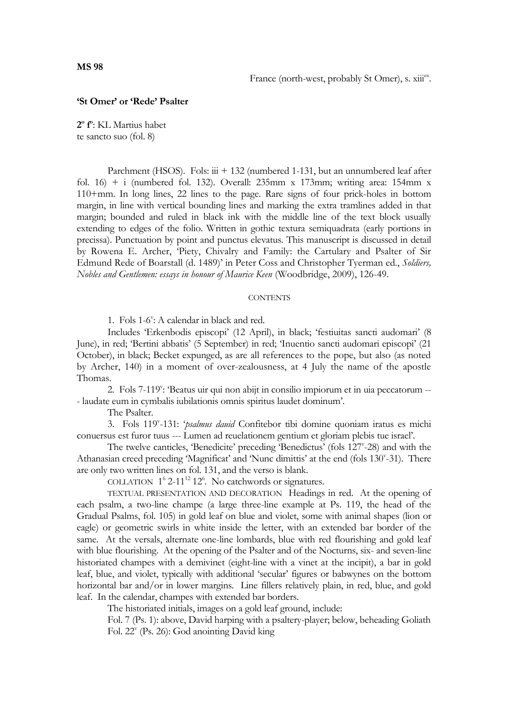## **'St Omer' or 'Rede' Psalter**

**2 o f o** : KL Martius habet te sancto suo (fol. 8)

Parchment (HSOS). Fols:  $\dddot{u}$  + 132 (numbered 1-131, but an unnumbered leaf after fol.  $16$  + i (numbered fol. 132). Overall: 235mm x 173mm; writing area: 154mm x 110+mm. In long lines, 22 lines to the page. Rare signs of four prick-holes in bottom margin, in line with vertical bounding lines and marking the extra tramlines added in that margin; bounded and ruled in black ink with the middle line of the text block usually extending to edges of the folio. Written in gothic textura semiquadrata (early portions in precissa). Punctuation by point and punctus elevatus. This manuscript is discussed in detail by Rowena E. Archer, 'Piety, Chivalry and Family: the Cartulary and Psalter of Sir Edmund Rede of Boarstall (d. 1489)' in Peter Coss and Christopher Tyerman ed., *Soldiers, Nobles and Gentlemen: essays in honour of Maurice Keen* (Woodbridge, 2009), 126-49.

## **CONTENTS**

1. Fols 1-6": A calendar in black and red.

Includes 'Erkenbodis episcopi' (12 April), in black; 'festiuitas sancti audomari' (8 June), in red; 'Bertini abbatis' (5 September) in red; 'Inuentio sancti audomari episcopi' (21 October), in black; Becket expunged, as are all references to the pope, but also (as noted by Archer, 140) in a moment of over-zealousness, at 4 July the name of the apostle Thomas.

2. Fols 7-119": 'Beatus uir qui non abijt in consilio impiorum et in uia peccatorum --- laudate eum in cymbalis iubilationis omnis spiritus laudet dominum'.

The Psalter.

3. Fols 119<sup>v</sup> -131: '*psalmus dauid* Confitebor tibi domine quoniam iratus es michi conuersus est furor tuus --- Lumen ad reuelationem gentium et gloriam plebis tue israel'.

The twelve canticles, 'Benedicite' preceding 'Benedictus' (fols 127<sup>v</sup>-28) and with the Athanasian creed preceding 'Magnificat' and 'Nunc dimittis' at the end (fols 130°-31). There are only two written lines on fol. 131, and the verso is blank.

COLLATION  $1^6$  2-11<sup>12</sup> 12<sup>6</sup>. No catchwords or signatures.

TEXTUAL PRESENTATION AND DECORATION Headings in red. At the opening of each psalm, a two-line champe (a large three-line example at Ps. 119, the head of the Gradual Psalms, fol. 105) in gold leaf on blue and violet, some with animal shapes (lion or eagle) or geometric swirls in white inside the letter, with an extended bar border of the same. At the versals, alternate one-line lombards, blue with red flourishing and gold leaf with blue flourishing. At the opening of the Psalter and of the Nocturns, six- and seven-line historiated champes with a demivinet (eight-line with a vinet at the incipit), a bar in gold leaf, blue, and violet, typically with additional 'secular' figures or babwynes on the bottom horizontal bar and/or in lower margins. Line fillers relatively plain, in red, blue, and gold leaf. In the calendar, champes with extended bar borders.

The historiated initials, images on a gold leaf ground, include:

Fol. 7 (Ps. 1): above, David harping with a psaltery-player; below, beheading Goliath Fol. 22<sup>v</sup> (Ps. 26): God anointing David king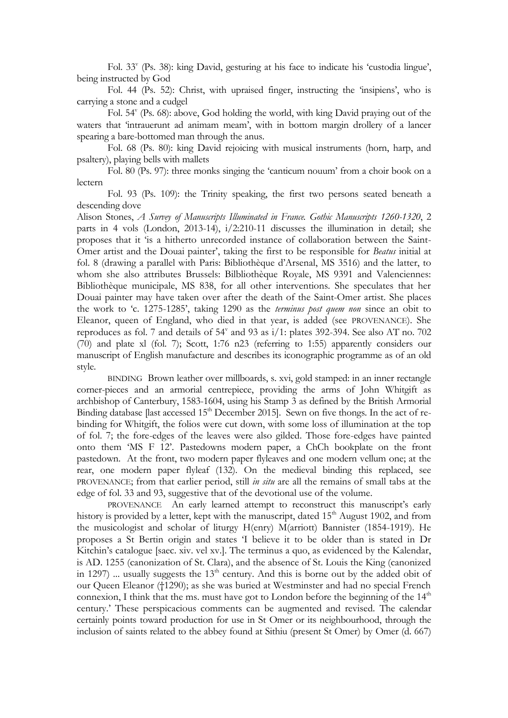Fol. 33<sup>v</sup> (Ps. 38): king David, gesturing at his face to indicate his 'custodia lingue', being instructed by God

Fol. 44 (Ps. 52): Christ, with upraised finger, instructing the 'insipiens', who is carrying a stone and a cudgel

Fol. 54<sup>v</sup> (Ps. 68): above, God holding the world, with king David praying out of the waters that 'intrauerunt ad animam meam', with in bottom margin drollery of a lancer spearing a bare-bottomed man through the anus.

Fol. 68 (Ps. 80): king David rejoicing with musical instruments (horn, harp, and psaltery), playing bells with mallets

Fol. 80 (Ps. 97): three monks singing the 'canticum nouum' from a choir book on a lectern

Fol. 93 (Ps. 109): the Trinity speaking, the first two persons seated beneath a descending dove

Alison Stones, *A Survey of Manuscripts Illuminated in France. Gothic Manuscripts 1260-1320*, 2 parts in 4 vols (London, 2013-14), i/2:210-11 discusses the illumination in detail; she proposes that it 'is a hitherto unrecorded instance of collaboration between the Saint-Omer artist and the Douai painter', taking the first to be responsible for *Beatus* initial at fol. 8 (drawing a parallel with Paris: Bibliothèque d'Arsenal, MS 3516) and the latter, to whom she also attributes Brussels: Bilbliothèque Royale, MS 9391 and Valenciennes: Bibliothèque municipale, MS 838, for all other interventions. She speculates that her Douai painter may have taken over after the death of the Saint-Omer artist. She places the work to 'c. 1275-1285', taking 1290 as the *terminus post quem non* since an obit to Eleanor, queen of England, who died in that year, is added (see PROVENANCE). She reproduces as fol. 7 and details of 54<sup>v</sup> and 93 as i/1: plates 392-394. See also AT no. 702 (70) and plate xl (fol. 7); Scott, 1:76 n23 (referring to 1:55) apparently considers our manuscript of English manufacture and describes its iconographic programme as of an old style.

BINDING Brown leather over millboards, s. xvi, gold stamped: in an inner rectangle corner-pieces and an armorial centrepiece, providing the arms of John Whitgift as archbishop of Canterbury, 1583-1604, using his Stamp 3 as defined by the British Armorial Binding database [last accessed  $15<sup>th</sup>$  December 2015]. Sewn on five thongs. In the act of rebinding for Whitgift, the folios were cut down, with some loss of illumination at the top of fol. 7; the fore-edges of the leaves were also gilded. Those fore-edges have painted onto them 'MS F 12'. Pastedowns modern paper, a ChCh bookplate on the front pastedown. At the front, two modern paper flyleaves and one modern vellum one; at the rear, one modern paper flyleaf (132). On the medieval binding this replaced, see PROVENANCE; from that earlier period, still *in situ* are all the remains of small tabs at the edge of fol. 33 and 93, suggestive that of the devotional use of the volume.

PROVENANCE An early learned attempt to reconstruct this manuscript's early history is provided by a letter, kept with the manuscript, dated  $15<sup>th</sup>$  August 1902, and from the musicologist and scholar of liturgy H(enry) M(arriott) Bannister (1854-1919). He proposes a St Bertin origin and states 'I believe it to be older than is stated in Dr Kitchin's catalogue [saec. xiv. vel xv.]. The terminus a quo, as evidenced by the Kalendar, is AD. 1255 (canonization of St. Clara), and the absence of St. Louis the King (canonized in 1297) ... usually suggests the 13<sup>th</sup> century. And this is borne out by the added obit of our Queen Eleanor (†1290); as she was buried at Westminster and had no special French connexion, I think that the ms. must have got to London before the beginning of the  $14<sup>th</sup>$ century.' These perspicacious comments can be augmented and revised. The calendar certainly points toward production for use in St Omer or its neighbourhood, through the inclusion of saints related to the abbey found at Sithiu (present St Omer) by Omer (d. 667)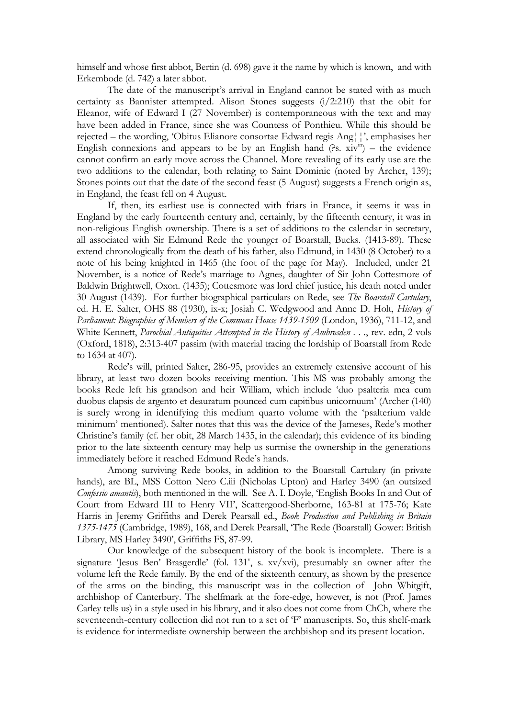himself and whose first abbot, Bertin (d. 698) gave it the name by which is known, and with Erkembode (d. 742) a later abbot.

The date of the manuscript's arrival in England cannot be stated with as much certainty as Bannister attempted. Alison Stones suggests (i/2:210) that the obit for Eleanor, wife of Edward I (27 November) is contemporaneous with the text and may have been added in France, since she was Countess of Ponthieu. While this should be rejected – the wording, 'Obitus Elianore consortae Edward regis Ang¦¦', emphasises her English connexions and appears to be by an English hand  $($ ?s.  $xiv<sup>in</sup>)$  – the evidence cannot confirm an early move across the Channel. More revealing of its early use are the two additions to the calendar, both relating to Saint Dominic (noted by Archer, 139); Stones points out that the date of the second feast (5 August) suggests a French origin as, in England, the feast fell on 4 August.

If, then, its earliest use is connected with friars in France, it seems it was in England by the early fourteenth century and, certainly, by the fifteenth century, it was in non-religious English ownership. There is a set of additions to the calendar in secretary, all associated with Sir Edmund Rede the younger of Boarstall, Bucks. (1413-89). These extend chronologically from the death of his father, also Edmund, in 1430 (8 October) to a note of his being knighted in 1465 (the foot of the page for May). Included, under 21 November, is a notice of Rede's marriage to Agnes, daughter of Sir John Cottesmore of Baldwin Brightwell, Oxon. (1435); Cottesmore was lord chief justice, his death noted under 30 August (1439). For further biographical particulars on Rede, see *The Boarstall Cartulary*, ed. H. E. Salter, OHS 88 (1930), ix-x; Josiah C. Wedgwood and Anne D. Holt, *History of Parliament: Biographies of Members of the Commons House 1439-1509* (London, 1936), 711-12, and White Kennett, *Parochial Antiquities Attempted in the History of Ambrosden . . .*, rev. edn, 2 vols (Oxford, 1818), 2:313-407 passim (with material tracing the lordship of Boarstall from Rede to 1634 at 407).

Rede's will, printed Salter, 286-95, provides an extremely extensive account of his library, at least two dozen books receiving mention. This MS was probably among the books Rede left his grandson and heir William, which include 'duo psalteria mea cum duobus clapsis de argento et deauratum pounced cum capitibus unicornuum' (Archer (140) is surely wrong in identifying this medium quarto volume with the 'psalterium valde minimum' mentioned). Salter notes that this was the device of the Jameses, Rede's mother Christine's family (cf. her obit, 28 March 1435, in the calendar); this evidence of its binding prior to the late sixteenth century may help us surmise the ownership in the generations immediately before it reached Edmund Rede's hands.

Among surviving Rede books, in addition to the Boarstall Cartulary (in private hands), are BL, MSS Cotton Nero C.iii (Nicholas Upton) and Harley 3490 (an outsized *Confessio amantis*), both mentioned in the will. See A. I. Doyle, 'English Books In and Out of Court from Edward III to Henry VII', Scattergood-Sherborne, 163-81 at 175-76; Kate Harris in Jeremy Griffiths and Derek Pearsall ed., *Book Production and Publishing in Britain 1375-1475* (Cambridge, 1989), 168, and Derek Pearsall, 'The Rede (Boarstall) Gower: British Library, MS Harley 3490', Griffiths FS, 87-99.

Our knowledge of the subsequent history of the book is incomplete. There is a signature 'Jesus Ben' Brasgerdle' (fol. 131<sup>v</sup>, s. xv/xvi), presumably an owner after the volume left the Rede family. By the end of the sixteenth century, as shown by the presence of the arms on the binding, this manuscript was in the collection of John Whitgift, archbishop of Canterbury. The shelfmark at the fore-edge, however, is not (Prof. James Carley tells us) in a style used in his library, and it also does not come from ChCh, where the seventeenth-century collection did not run to a set of 'F' manuscripts. So, this shelf-mark is evidence for intermediate ownership between the archbishop and its present location.